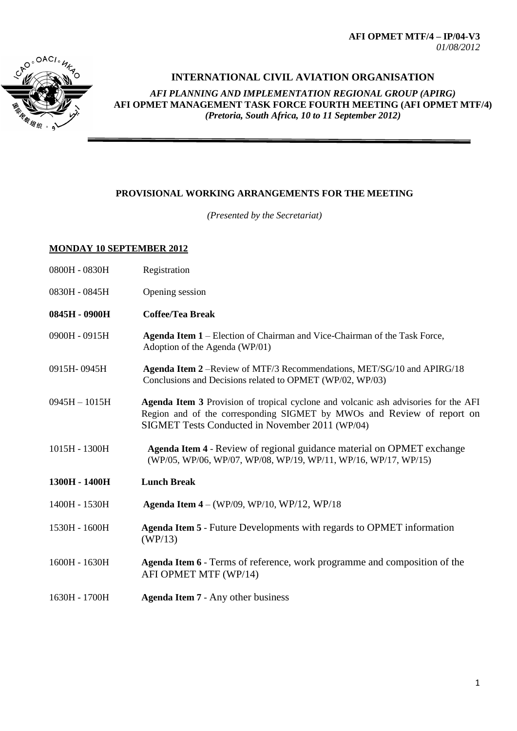**AFI OPMET MTF/4 – IP/04-V3** *01/08/2012*



## **INTERNATIONAL CIVIL AVIATION ORGANISATION**

*AFI PLANNING AND IMPLEMENTATION REGIONAL GROUP (APIRG)* **AFI OPMET MANAGEMENT TASK FORCE FOURTH MEETING (AFI OPMET MTF/4)**  *(Pretoria, South Africa, 10 to 11 September 2012)*

## **PROVISIONAL WORKING ARRANGEMENTS FOR THE MEETING**

*(Presented by the Secretariat)*

## **MONDAY 10 SEPTEMBER 2012**

| 0800H - 0830H | Registration |
|---------------|--------------|
|---------------|--------------|

- 0830H 0845H Opening session
- **0845H - 0900H Coffee/Tea Break**
- 0900H 0915H **Agenda Item 1** Election of Chairman and Vice-Chairman of the Task Force, Adoption of the Agenda (WP/01)
- 0915H- 0945H **Agenda Item 2** –Review of MTF/3 Recommendations, MET/SG/10 and APIRG/18 Conclusions and Decisions related to OPMET (WP/02, WP/03)
- 0945H 1015H **Agenda Item 3** Provision of tropical cyclone and volcanic ash advisories for the AFI Region and of the corresponding SIGMET by MWOs and Review of report on SIGMET Tests Conducted in November 2011 (WP/04)
- 1015H 1300H **Agenda Item 4**  Review of regional guidance material on OPMET exchange (WP/05, WP/06, WP/07, WP/08, WP/19, WP/11, WP/16, WP/17, WP/15)
- **1300H - 1400H Lunch Break**
- 1400H 1530H **Agenda Item 4**  (WP/09, WP/10, WP/12, WP/18
- 1530H 1600H **Agenda Item 5**  Future Developments with regards to OPMET information (WP/13)
- 1600H 1630H **Agenda Item 6**  Terms of reference, work programme and composition of the AFI OPMET MTF (WP/14)
- 1630H 1700H **Agenda Item 7**  Any other business